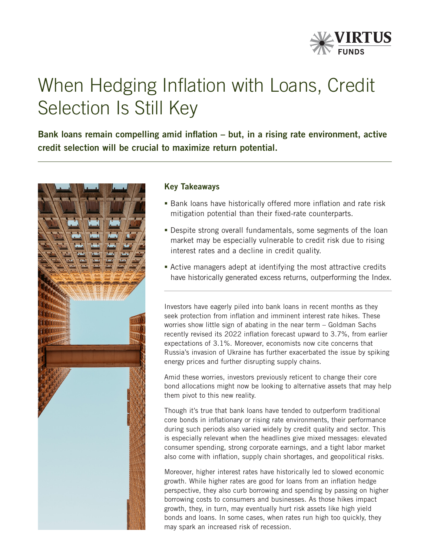

# When Hedging Inflation with Loans, Credit Selection Is Still Key

Bank loans remain compelling amid inflation – but, in a rising rate environment, active credit selection will be crucial to maximize return potential.



# Key Takeaways

- **Bank loans have historically offered more inflation and rate risk** mitigation potential than their fixed-rate counterparts.
- Despite strong overall fundamentals, some segments of the loan market may be especially vulnerable to credit risk due to rising interest rates and a decline in credit quality.
- Active managers adept at identifying the most attractive credits have historically generated excess returns, outperforming the Index.

Investors have eagerly piled into bank loans in recent months as they seek protection from inflation and imminent interest rate hikes. These worries show little sign of abating in the near term – Goldman Sachs recently revised its 2022 inflation forecast upward to 3.7%, from earlier expectations of 3.1%. Moreover, economists now cite concerns that Russia's invasion of Ukraine has further exacerbated the issue by spiking energy prices and further disrupting supply chains.

Amid these worries, investors previously reticent to change their core bond allocations might now be looking to alternative assets that may help them pivot to this new reality.

Though it's true that bank loans have tended to outperform traditional core bonds in inflationary or rising rate environments, their performance during such periods also varied widely by credit quality and sector. This is especially relevant when the headlines give mixed messages: elevated consumer spending, strong corporate earnings, and a tight labor market also come with inflation, supply chain shortages, and geopolitical risks.

Moreover, higher interest rates have historically led to slowed economic growth. While higher rates are good for loans from an inflation hedge perspective, they also curb borrowing and spending by passing on higher borrowing costs to consumers and businesses. As those hikes impact growth, they, in turn, may eventually hurt risk assets like high yield bonds and loans. In some cases, when rates run high too quickly, they may spark an increased risk of recession.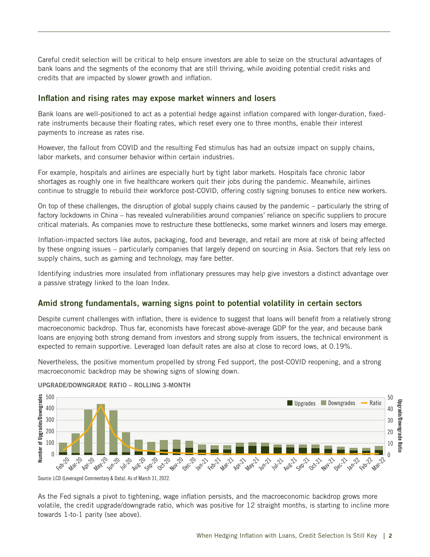Careful credit selection will be critical to help ensure investors are able to seize on the structural advantages of bank loans and the segments of the economy that are still thriving, while avoiding potential credit risks and credits that are impacted by slower growth and inflation.

## Inflation and rising rates may expose market winners and losers

Bank loans are well-positioned to act as a potential hedge against inflation compared with longer-duration, fixedrate instruments because their floating rates, which reset every one to three months, enable their interest payments to increase as rates rise.

However, the fallout from COVID and the resulting Fed stimulus has had an outsize impact on supply chains, labor markets, and consumer behavior within certain industries.

For example, hospitals and airlines are especially hurt by tight labor markets. Hospitals face chronic labor shortages as roughly one in five healthcare workers quit their jobs during the pandemic. Meanwhile, airlines continue to struggle to rebuild their workforce post-COVID, offering costly signing bonuses to entice new workers.

On top of these challenges, the disruption of global supply chains caused by the pandemic – particularly the string of factory lockdowns in China – has revealed vulnerabilities around companies' reliance on specific suppliers to procure critical materials. As companies move to restructure these bottlenecks, some market winners and losers may emerge.

Inflation-impacted sectors like autos, packaging, food and beverage, and retail are more at risk of being affected by these ongoing issues – particularly companies that largely depend on sourcing in Asia. Sectors that rely less on supply chains, such as gaming and technology, may fare better.

Identifying industries more insulated from inflationary pressures may help give investors a distinct advantage over a passive strategy linked to the loan Index.

## Amid strong fundamentals, warning signs point to potential volatility in certain sectors

Despite current challenges with inflation, there is evidence to suggest that loans will benefit from a relatively strong macroeconomic backdrop. Thus far, economists have forecast above-average GDP for the year, and because bank loans are enjoying both strong demand from investors and strong supply from issuers, the technical environment is expected to remain supportive. Leveraged loan default rates are also at close to record lows, at 0.19%.

Nevertheless, the positive momentum propelled by strong Fed support, the post-COVID reopening, and a strong macroeconomic backdrop may be showing signs of slowing down.



### UPGRADE/DOWNGRADE RATIO – ROLLING 3-MONTH

Source: LCD (Leveraged Commentary & Data). As of March 31, 2022.

As the Fed signals a pivot to tightening, wage inflation persists, and the macroeconomic backdrop grows more volatile, the credit upgrade/downgrade ratio, which was positive for 12 straight months, is starting to incline more towards 1-to-1 parity (see above).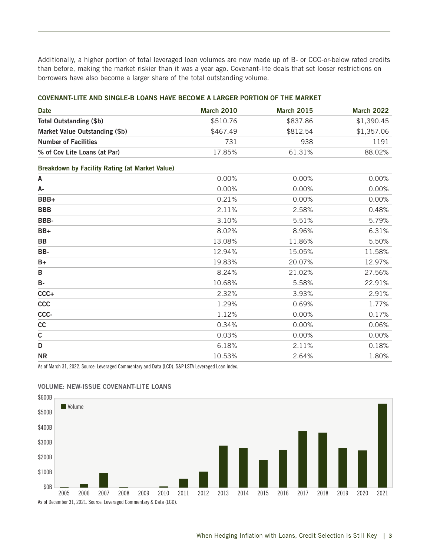Additionally, a higher portion of total leveraged loan volumes are now made up of B- or CCC-or-below rated credits than before, making the market riskier than it was a year ago. Covenant-lite deals that set looser restrictions on borrowers have also become a larger share of the total outstanding volume.

## COVENANT-LITE AND SINGLE-B LOANS HAVE BECOME A LARGER PORTION OF THE MARKET

| Date                           | <b>March 2010</b> | <b>March 2015</b> | <b>March 2022</b> |
|--------------------------------|-------------------|-------------------|-------------------|
| Total Outstanding (\$b)        | \$510.76          | \$837.86          | \$1,390,45        |
| Market Value Outstanding (\$b) | \$467.49          | \$812.54          | \$1,357.06        |
| <b>Number of Facilities</b>    | 731               | 938               | 1191              |
| % of Cov Lite Loans (at Par)   | 17.85%            | 61.31%            | 88.02%            |

## Breakdown by Facility Rating (at Market Value)

| A           | 0.00%  | 0.00%  | 0.00%  |
|-------------|--------|--------|--------|
| А-          | 0.00%  | 0.00%  | 0.00%  |
| BBB+        | 0.21%  | 0.00%  | 0.00%  |
| <b>BBB</b>  | 2.11%  | 2.58%  | 0.48%  |
| BBB-        | 3.10%  | 5.51%  | 5.79%  |
| $BB+$       | 8.02%  | 8.96%  | 6.31%  |
| <b>BB</b>   | 13.08% | 11.86% | 5.50%  |
| BB-         | 12.94% | 15.05% | 11.58% |
| $B+$        | 19.83% | 20.07% | 12.97% |
| B           | 8.24%  | 21.02% | 27.56% |
| <b>B-</b>   | 10.68% | 5.58%  | 22.91% |
| $CCC +$     | 2.32%  | 3.93%  | 2.91%  |
| ccc         | 1.29%  | 0.69%  | 1.77%  |
| CCC-        | 1.12%  | 0.00%  | 0.17%  |
| cc          | 0.34%  | 0.00%  | 0.06%  |
| $\mathsf c$ | 0.03%  | 0.00%  | 0.00%  |
| D           | 6.18%  | 2.11%  | 0.18%  |
| <b>NR</b>   | 10.53% | 2.64%  | 1.80%  |
|             |        |        |        |

As of March 31, 2022. Source: Leveraged Commentary and Data (LCD), S&P LSTA Leveraged Loan Index.



## VOLUME: NEW-ISSUE COVENANT-LITE LOANS

As of December 31, 2021. Source: Leveraged Commentary & Data (LCD).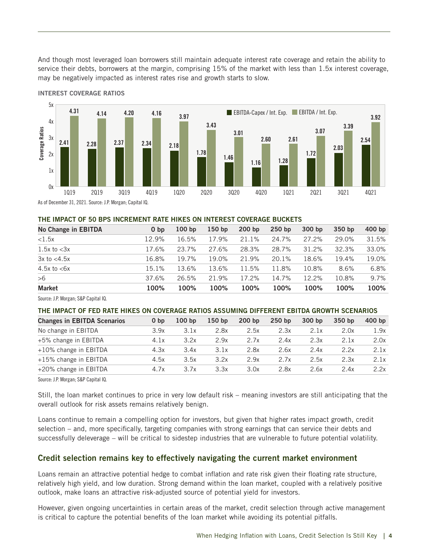And though most leveraged loan borrowers still maintain adequate interest rate coverage and retain the ability to service their debts, borrowers at the margin, comprising 15% of the market with less than 1.5x interest coverage, may be negatively impacted as interest rates rise and growth starts to slow.



INTEREST COVERAGE RATIOS

### THE IMPACT OF 50 BPS INCREMENT RATE HIKES ON INTEREST COVERAGE BUCKETS

| No Change in EBITDA | 0 <sub>bp</sub> | 100 <sub>bp</sub> | 150 <sub>bp</sub> | 200 <sub>bp</sub> | 250 <sub>bp</sub> | 300 bp | 350 bp | $400$ bp |
|---------------------|-----------------|-------------------|-------------------|-------------------|-------------------|--------|--------|----------|
| < 1.5x              | 12.9%           | 16.5%             | 17.9%             | 21.1%             | 24.7%             | 27.2%  | 29.0%  | 31.5%    |
| $1.5x$ to $<$ 3x    | 17.6%           | 23.7%             | 27.6%             | 28.3%             | 28.7%             | 31.2%  | 32.3%  | 33.0%    |
| $3x$ to $<$ 4.5 $x$ | 16.8%           | 19.7%             | 19.0%             | 21.9%             | 20.1%             | 18.6%  | 19.4%  | 19.0%    |
| 4.5 $x$ to $<6x$    | 15.1%           | 13.6%             | 13.6%             | 11.5%             | 11.8%             | 10.8%  | 8.6%   | 6.8%     |
| >6                  | 37.6%           | 26.5%             | 21.9%             | 17.2%             | 14.7%             | 12.2%  | 10.8%  | 9.7%     |
| <b>Market</b>       | 100%            | 100%              | 100%              | 100%              | 100%              | 100%   | 100%   | 100%     |

Source: J.P. Morgan; S&P Capital IQ.

#### THE IMPACT OF FED RATE HIKES ON COVERAGE RATIOS ASSUMING DIFFERENT EBITDA GROWTH SCENARIOS

| <b>Changes in EBITDA Scenarios</b> | 0 <sub>bp</sub> | 100 <sub>bp</sub> | 150 <sub>bp</sub> | 200 <sub>bp</sub> | 250 <sub>bp</sub> | 300 bp | 350 bp | $400$ bp |
|------------------------------------|-----------------|-------------------|-------------------|-------------------|-------------------|--------|--------|----------|
| No change in EBITDA                | 3.9x            | 3.1x              | 2.8x              | 2.5x              | 2.3x              | 2.1x   | 2.0x   | 1.9x     |
| +5% change in EBITDA               | 4.1x            | 3.2x              | 2.9x              | 2.7x              | 2.4x              | 2.3x   | 2.1x   | 2.0x     |
| $+10\%$ change in EBITDA           | 4.3x            | 3.4x              | 3.1x              | 2.8x              | 2.6x              | 2.4x   | 2.2x   | 2.1x     |
| $+15\%$ change in EBITDA           | 4.5x            | 3.5x              | 3.2x              | 2.9x              | 2.7x              | 2.5x   | 2.3x   | 2.1x     |
| +20% change in EBITDA              | 4.7x            | 3.7x              | 3.3x              | 3.0x              | 2.8x              | 2.6x   | 2.4x   | 2.2x     |

Source: J.P. Morgan; S&P Capital IQ.

Still, the loan market continues to price in very low default risk – meaning investors are still anticipating that the overall outlook for risk assets remains relatively benign.

Loans continue to remain a compelling option for investors, but given that higher rates impact growth, credit selection – and, more specifically, targeting companies with strong earnings that can service their debts and successfully deleverage – will be critical to sidestep industries that are vulnerable to future potential volatility.

## Credit selection remains key to effectively navigating the current market environment

Loans remain an attractive potential hedge to combat inflation and rate risk given their floating rate structure, relatively high yield, and low duration. Strong demand within the loan market, coupled with a relatively positive outlook, make loans an attractive risk-adjusted source of potential yield for investors.

However, given ongoing uncertainties in certain areas of the market, credit selection through active management is critical to capture the potential benefits of the loan market while avoiding its potential pitfalls.